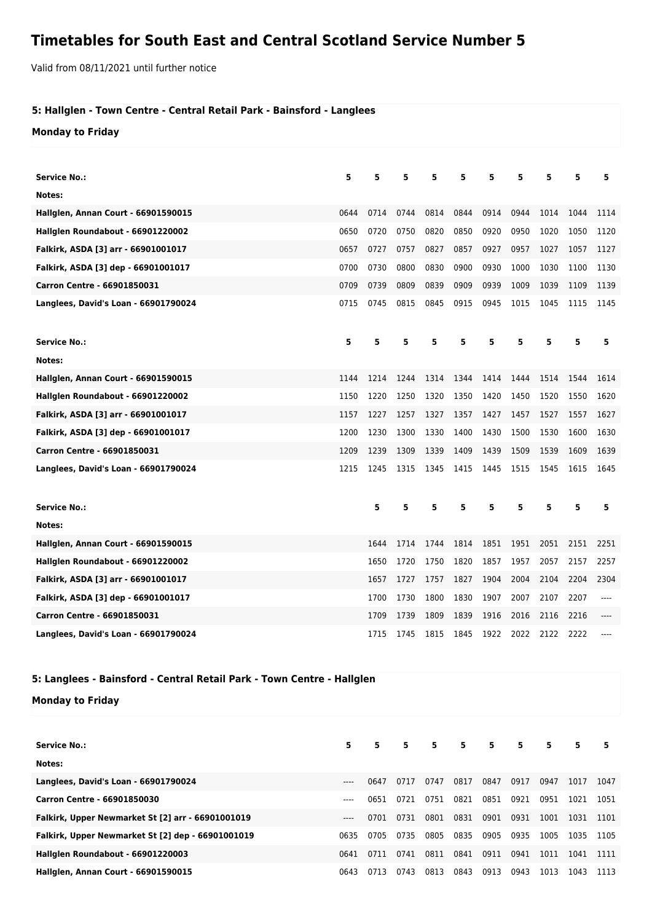## **Timetables for South East and Central Scotland Service Number 5**

Valid from 08/11/2021 until further notice

## **5: Hallglen - Town Centre - Central Retail Park - Bainsford - Langlees**

**Monday to Friday**

| Service No.:                         | 5    | 5    | 5    | 5    | 5    | 5    | 5    | 5    | 5    | 5    |
|--------------------------------------|------|------|------|------|------|------|------|------|------|------|
| Notes:                               |      |      |      |      |      |      |      |      |      |      |
| Hallglen, Annan Court - 66901590015  | 0644 | 0714 | 0744 | 0814 | 0844 | 0914 | 0944 | 1014 | 1044 | 1114 |
| Hallglen Roundabout - 66901220002    | 0650 | 0720 | 0750 | 0820 | 0850 | 0920 | 0950 | 1020 | 1050 | 1120 |
| Falkirk, ASDA [3] arr - 66901001017  | 0657 | 0727 | 0757 | 0827 | 0857 | 0927 | 0957 | 1027 | 1057 | 1127 |
| Falkirk, ASDA [3] dep - 66901001017  | 0700 | 0730 | 0800 | 0830 | 0900 | 0930 | 1000 | 1030 | 1100 | 1130 |
| Carron Centre - 66901850031          | 0709 | 0739 | 0809 | 0839 | 0909 | 0939 | 1009 | 1039 | 1109 | 1139 |
| Langlees, David's Loan - 66901790024 | 0715 | 0745 | 0815 | 0845 | 0915 | 0945 | 1015 | 1045 | 1115 | 1145 |
| Service No.:                         | 5    | 5    | 5    | 5    | 5    | 5    | 5    | 5    | 5    | 5    |
| Notes:                               |      |      |      |      |      |      |      |      |      |      |
| Hallglen, Annan Court - 66901590015  | 1144 | 1214 | 1244 | 1314 | 1344 | 1414 | 1444 | 1514 | 1544 | 1614 |
| Hallglen Roundabout - 66901220002    | 1150 | 1220 | 1250 | 1320 | 1350 | 1420 | 1450 | 1520 | 1550 | 1620 |
| Falkirk, ASDA [3] arr - 66901001017  | 1157 | 1227 | 1257 | 1327 | 1357 | 1427 | 1457 | 1527 | 1557 | 1627 |
| Falkirk, ASDA [3] dep - 66901001017  | 1200 | 1230 | 1300 | 1330 | 1400 | 1430 | 1500 | 1530 | 1600 | 1630 |
| Carron Centre - 66901850031          | 1209 | 1239 | 1309 | 1339 | 1409 | 1439 | 1509 | 1539 | 1609 | 1639 |
| Langlees, David's Loan - 66901790024 | 1215 | 1245 | 1315 | 1345 | 1415 | 1445 | 1515 | 1545 | 1615 | 1645 |
| <b>Service No.:</b>                  |      | 5    | 5    | 5    | 5    | 5    | 5    | 5    | 5    | 5    |
| Notes:                               |      |      |      |      |      |      |      |      |      |      |
| Hallglen, Annan Court - 66901590015  |      | 1644 | 1714 | 1744 | 1814 | 1851 | 1951 | 2051 | 2151 | 2251 |
| Hallglen Roundabout - 66901220002    |      | 1650 | 1720 | 1750 | 1820 | 1857 | 1957 | 2057 | 2157 | 2257 |
| Falkirk, ASDA [3] arr - 66901001017  |      | 1657 | 1727 | 1757 | 1827 | 1904 | 2004 | 2104 | 2204 | 2304 |
| Falkirk, ASDA [3] dep - 66901001017  |      | 1700 | 1730 | 1800 | 1830 | 1907 | 2007 | 2107 | 2207 | ---- |
| Carron Centre - 66901850031          |      | 1709 | 1739 | 1809 | 1839 | 1916 | 2016 | 2116 | 2216 |      |
| Langlees, David's Loan - 66901790024 |      | 1715 | 1745 | 1815 | 1845 | 1922 | 2022 | 2122 | 2222 |      |

## **5: Langlees - Bainsford - Central Retail Park - Town Centre - Hallglen**

**Monday to Friday**

| <b>Service No.:</b>                               | 5.    | 5.   | 5    | 5.   | 5.   | 5    | 5    | 5.   | 5    | 5    |
|---------------------------------------------------|-------|------|------|------|------|------|------|------|------|------|
| Notes:                                            |       |      |      |      |      |      |      |      |      |      |
| Langlees, David's Loan - 66901790024              | $---$ | 0647 | 0717 | 0747 | 0817 | 0847 | 0917 | 0947 | 1017 | 1047 |
| Carron Centre - 66901850030                       | $---$ | 0651 | 0721 | 0751 | 0821 | 0851 | 0921 | 0951 | 1021 | 1051 |
| Falkirk, Upper Newmarket St [2] arr - 66901001019 | $---$ | 0701 | 0731 | 0801 | 0831 | 0901 | 0931 | 1001 | 1031 | 1101 |
| Falkirk, Upper Newmarket St [2] dep - 66901001019 | 0635  | 0705 | 0735 | 0805 | 0835 | 0905 | 0935 | 1005 | 1035 | 1105 |
| Hallglen Roundabout - 66901220003                 | 0641  | 0711 | 0741 | 0811 | 0841 | 0911 | 0941 | 1011 | 1041 | 1111 |
| <b>Hallglen, Annan Court - 66901590015</b>        | 0643  | 0713 | 0743 | 0813 | 0843 | 0913 | 0943 | 1013 | 1043 | 1113 |